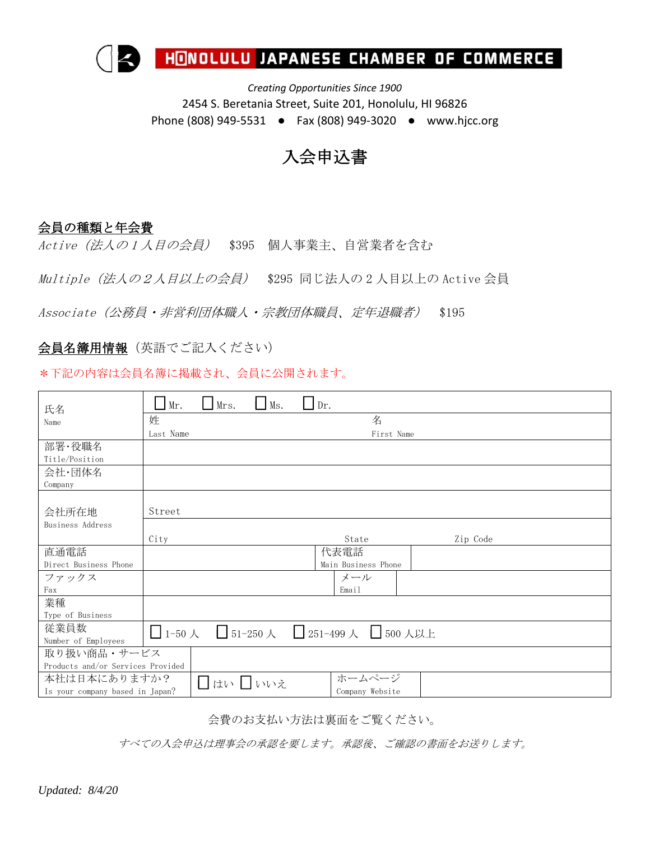

*Creating Opportunities Since 1900* 2454 S. Beretania Street, Suite 201, Honolulu, HI 96826 Phone (808) 949-5531 ● Fax (808) 949-3020 ● www.hjcc.org

## 入会申込書

## 会員の種類と年会費

Active(法人の <sup>1</sup> 人目の会員) \$395 個人事業主、自営業者を含む

Multiple (法人の2人目以上の会員) \$295 同じ法人の2人目以上の Active 会員

Associate (公務員・非営利団体職人・宗教団体職員、定年退職者) \$195

会員名簿用情報(英語でご記入ください)

\*下記の内容は会員名簿に掲載され、会員に公開されます。

| 氏名                                | Mr.       | Mrs. | Ms. | Dr.             |                                                               |          |  |  |
|-----------------------------------|-----------|------|-----|-----------------|---------------------------------------------------------------|----------|--|--|
| Name                              | 姓         |      |     |                 | 名                                                             |          |  |  |
|                                   | Last Name |      |     |                 | First Name                                                    |          |  |  |
| 部署·役職名                            |           |      |     |                 |                                                               |          |  |  |
| Title/Position                    |           |      |     |                 |                                                               |          |  |  |
| 会社·団体名                            |           |      |     |                 |                                                               |          |  |  |
| Company                           |           |      |     |                 |                                                               |          |  |  |
|                                   |           |      |     |                 |                                                               |          |  |  |
| 会社所在地                             | Street    |      |     |                 |                                                               |          |  |  |
| Business Address                  |           |      |     |                 |                                                               |          |  |  |
|                                   | City      |      |     |                 | State                                                         | Zip Code |  |  |
| 直通電話                              |           |      |     |                 | 代表電話                                                          |          |  |  |
| Direct Business Phone             |           |      |     |                 | Main Business Phone                                           |          |  |  |
| ファックス                             | メール       |      |     |                 |                                                               |          |  |  |
| Fax                               |           |      |     |                 | Email                                                         |          |  |  |
| 業種                                |           |      |     |                 |                                                               |          |  |  |
| Type of Business                  |           |      |     |                 |                                                               |          |  |  |
| 従業員数                              |           |      |     |                 | $\Box$ 1-50 人 $\Box$ 51-250 人 $\Box$ 251-499 人 $\Box$ 500 人以上 |          |  |  |
| Number of Employees               |           |      |     |                 |                                                               |          |  |  |
| 取り扱い商品・サービス                       |           |      |     |                 |                                                               |          |  |  |
| Products and/or Services Provided |           |      |     |                 |                                                               |          |  |  |
| 本社は日本にありますか?<br>□はい □いいえ          |           |      |     | ホームページ          |                                                               |          |  |  |
| Is your company based in Japan?   |           |      |     | Company Website |                                                               |          |  |  |

会費のお支払い方法は裏面をご覧ください。

すべての入会申込は理事会の承認を要します。承認後、ご確認の書面をお送りします。